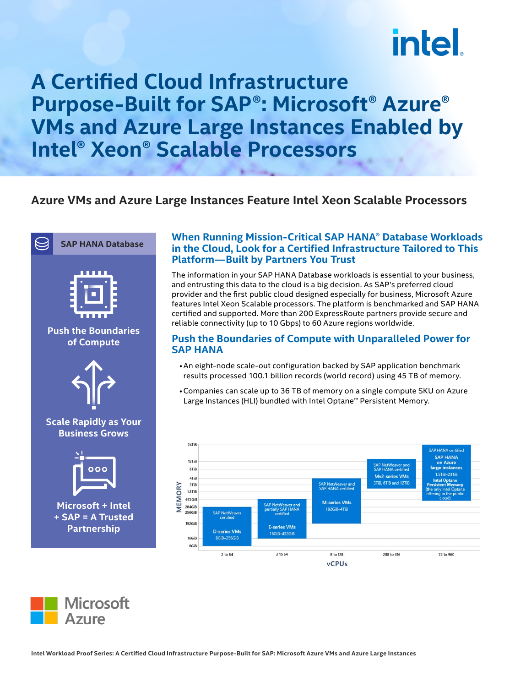# intel.

## **A Certified Cloud Infrastructure Purpose-Built for SAP®: Microsoft® Azure® VMs and Azure Large Instances Enabled by Intel® Xeon® Scalable Processors**

### **Azure VMs and Azure Large Instances Feature Intel Xeon Scalable Processors**



#### **When Running Mission-Critical SAP HANA® Database Workloads in the Cloud, Look for a Certified Infrastructure Tailored to This Platform—Built by Partners You Trust**

The information in your SAP HANA Database workloads is essential to your business, and entrusting this data to the cloud is a big decision. As SAP's preferred cloud provider and the first public cloud designed especially for business, Microsoft Azure features Intel Xeon Scalable processors. The platform is benchmarked and SAP HANA certified and supported. More than 200 ExpressRoute partners provide secure and reliable connectivity (up to 10 Gbps) to 60 Azure regions worldwide.

#### **Push the Boundaries of Compute with Unparalleled Power for SAP HANA**

- •An eight-node scale-out configuration backed by SAP application benchmark results processed 100.1 billion records (world record) using 45 TB of memory.
- •Companies can scale up to 36 TB of memory on a single compute SKU on Azure Large Instances (HLI) bundled with Intel Optane™ Persistent Memory.